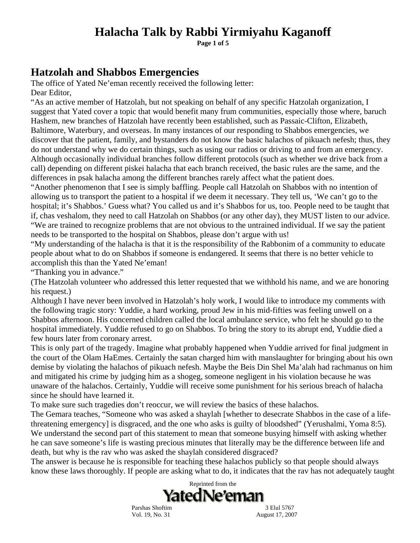**Page 1 of 5** 

#### **Hatzolah and Shabbos Emergencies**

The office of Yated Ne'eman recently received the following letter: Dear Editor.

"As an active member of Hatzolah, but not speaking on behalf of any specific Hatzolah organization, I suggest that Yated cover a topic that would benefit many frum communities, especially those where, baruch Hashem, new branches of Hatzolah have recently been established, such as Passaic-Clifton, Elizabeth, Baltimore, Waterbury, and overseas. In many instances of our responding to Shabbos emergencies, we discover that the patient, family, and bystanders do not know the basic halachos of pikuach nefesh; thus, they do not understand why we do certain things, such as using our radios or driving to and from an emergency. Although occasionally individual branches follow different protocols (such as whether we drive back from a call) depending on different piskei halacha that each branch received, the basic rules are the same, and the differences in psak halacha among the different branches rarely affect what the patient does.

"Another phenomenon that I see is simply baffling. People call Hatzolah on Shabbos with no intention of allowing us to transport the patient to a hospital if we deem it necessary. They tell us, 'We can't go to the hospital; it's Shabbos.' Guess what? You called us and it's Shabbos for us, too. People need to be taught that if, chas veshalom, they need to call Hatzolah on Shabbos (or any other day), they MUST listen to our advice. "We are trained to recognize problems that are not obvious to the untrained individual. If we say the patient needs to be transported to the hospital on Shabbos, please don't argue with us!

"My understanding of the halacha is that it is the responsibility of the Rabbonim of a community to educate people about what to do on Shabbos if someone is endangered. It seems that there is no better vehicle to accomplish this than the Yated Ne'eman!

"Thanking you in advance."

(The Hatzolah volunteer who addressed this letter requested that we withhold his name, and we are honoring his request.)

Although I have never been involved in Hatzolah's holy work, I would like to introduce my comments with the following tragic story: Yuddie, a hard working, proud Jew in his mid-fifties was feeling unwell on a Shabbos afternoon. His concerned children called the local ambulance service, who felt he should go to the hospital immediately. Yuddie refused to go on Shabbos. To bring the story to its abrupt end, Yuddie died a few hours later from coronary arrest.

This is only part of the tragedy. Imagine what probably happened when Yuddie arrived for final judgment in the court of the Olam HaEmes. Certainly the satan charged him with manslaughter for bringing about his own demise by violating the halachos of pikuach nefesh. Maybe the Beis Din Shel Ma'alah had rachmanus on him and mitigated his crime by judging him as a shogeg, someone negligent in his violation because he was unaware of the halachos. Certainly, Yuddie will receive some punishment for his serious breach of halacha since he should have learned it.

To make sure such tragedies don't reoccur, we will review the basics of these halachos.

The Gemara teaches, "Someone who was asked a shaylah [whether to desecrate Shabbos in the case of a lifethreatening emergency] is disgraced, and the one who asks is guilty of bloodshed" (Yerushalmi, Yoma 8:5). We understand the second part of this statement to mean that someone busying himself with asking whether he can save someone's life is wasting precious minutes that literally may be the difference between life and death, but why is the rav who was asked the shaylah considered disgraced?

The answer is because he is responsible for teaching these halachos publicly so that people should always know these laws thoroughly. If people are asking what to do, it indicates that the rav has not adequately taught



Parshas Shoftim 3 Elul 5767

Vol. 19, No. 31 August 17, 2007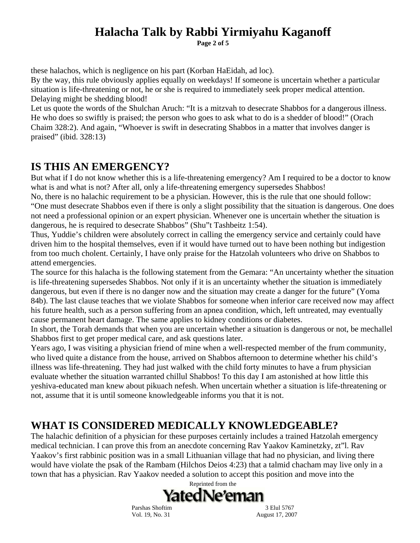**Page 2 of 5** 

these halachos, which is negligence on his part (Korban HaEidah, ad loc).

By the way, this rule obviously applies equally on weekdays! If someone is uncertain whether a particular situation is life-threatening or not, he or she is required to immediately seek proper medical attention. Delaying might be shedding blood!

Let us quote the words of the Shulchan Aruch: "It is a mitzvah to desecrate Shabbos for a dangerous illness. He who does so swiftly is praised; the person who goes to ask what to do is a shedder of blood!" (Orach Chaim 328:2). And again, "Whoever is swift in desecrating Shabbos in a matter that involves danger is praised" (ibid. 328:13)

#### **IS THIS AN EMERGENCY?**

But what if I do not know whether this is a life-threatening emergency? Am I required to be a doctor to know what is and what is not? After all, only a life-threatening emergency supersedes Shabbos!

No, there is no halachic requirement to be a physician. However, this is the rule that one should follow: "One must desecrate Shabbos even if there is only a slight possibility that the situation is dangerous. One does not need a professional opinion or an expert physician. Whenever one is uncertain whether the situation is dangerous, he is required to desecrate Shabbos" (Shu"t Tashbeitz 1:54).

Thus, Yuddie's children were absolutely correct in calling the emergency service and certainly could have driven him to the hospital themselves, even if it would have turned out to have been nothing but indigestion from too much cholent. Certainly, I have only praise for the Hatzolah volunteers who drive on Shabbos to attend emergencies.

The source for this halacha is the following statement from the Gemara: "An uncertainty whether the situation is life-threatening supersedes Shabbos. Not only if it is an uncertainty whether the situation is immediately dangerous, but even if there is no danger now and the situation may create a danger for the future" (Yoma 84b). The last clause teaches that we violate Shabbos for someone when inferior care received now may affect his future health, such as a person suffering from an apnea condition, which, left untreated, may eventually cause permanent heart damage. The same applies to kidney conditions or diabetes.

In short, the Torah demands that when you are uncertain whether a situation is dangerous or not, be mechallel Shabbos first to get proper medical care, and ask questions later.

Years ago, I was visiting a physician friend of mine when a well-respected member of the frum community, who lived quite a distance from the house, arrived on Shabbos afternoon to determine whether his child's illness was life-threatening. They had just walked with the child forty minutes to have a frum physician evaluate whether the situation warranted chillul Shabbos! To this day I am astonished at how little this yeshiva-educated man knew about pikuach nefesh. When uncertain whether a situation is life-threatening or not, assume that it is until someone knowledgeable informs you that it is not.

#### **WHAT IS CONSIDERED MEDICALLY KNOWLEDGEABLE?**

The halachic definition of a physician for these purposes certainly includes a trained Hatzolah emergency medical technician. I can prove this from an anecdote concerning Rav Yaakov Kaminetzky, zt"l. Rav Yaakov's first rabbinic position was in a small Lithuanian village that had no physician, and living there would have violate the psak of the Rambam (Hilchos Deios 4:23) that a talmid chacham may live only in a town that has a physician. Rav Yaakov needed a solution to accept this position and move into the



Vol. 19, No. 31 August 17, 2007

Parshas Shoftim 3 Elul 5767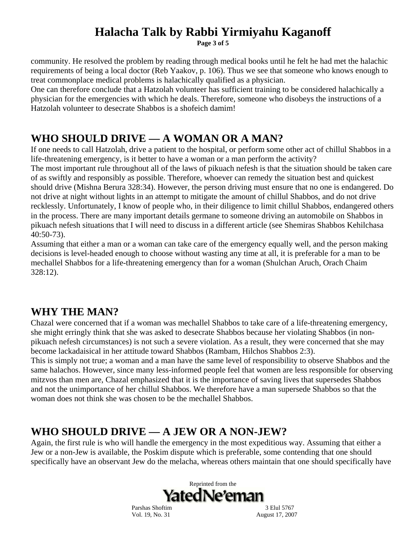**Page 3 of 5** 

community. He resolved the problem by reading through medical books until he felt he had met the halachic requirements of being a local doctor (Reb Yaakov, p. 106). Thus we see that someone who knows enough to treat commonplace medical problems is halachically qualified as a physician.

One can therefore conclude that a Hatzolah volunteer has sufficient training to be considered halachically a physician for the emergencies with which he deals. Therefore, someone who disobeys the instructions of a Hatzolah volunteer to desecrate Shabbos is a shofeich damim!

#### **WHO SHOULD DRIVE — A WOMAN OR A MAN?**

If one needs to call Hatzolah, drive a patient to the hospital, or perform some other act of chillul Shabbos in a life-threatening emergency, is it better to have a woman or a man perform the activity?

The most important rule throughout all of the laws of pikuach nefesh is that the situation should be taken care of as swiftly and responsibly as possible. Therefore, whoever can remedy the situation best and quickest should drive (Mishna Berura 328:34). However, the person driving must ensure that no one is endangered. Do not drive at night without lights in an attempt to mitigate the amount of chillul Shabbos, and do not drive recklessly. Unfortunately, I know of people who, in their diligence to limit chillul Shabbos, endangered others in the process. There are many important details germane to someone driving an automobile on Shabbos in pikuach nefesh situations that I will need to discuss in a different article (see Shemiras Shabbos Kehilchasa 40:50-73).

Assuming that either a man or a woman can take care of the emergency equally well, and the person making decisions is level-headed enough to choose without wasting any time at all, it is preferable for a man to be mechallel Shabbos for a life-threatening emergency than for a woman (Shulchan Aruch, Orach Chaim 328:12).

#### **WHY THE MAN?**

Chazal were concerned that if a woman was mechallel Shabbos to take care of a life-threatening emergency, she might erringly think that she was asked to desecrate Shabbos because her violating Shabbos (in nonpikuach nefesh circumstances) is not such a severe violation. As a result, they were concerned that she may become lackadaisical in her attitude toward Shabbos (Rambam, Hilchos Shabbos 2:3).

This is simply not true; a woman and a man have the same level of responsibility to observe Shabbos and the same halachos. However, since many less-informed people feel that women are less responsible for observing mitzvos than men are, Chazal emphasized that it is the importance of saving lives that supersedes Shabbos and not the unimportance of her chillul Shabbos. We therefore have a man supersede Shabbos so that the woman does not think she was chosen to be the mechallel Shabbos.

#### **WHO SHOULD DRIVE — A JEW OR A NON-JEW?**

Again, the first rule is who will handle the emergency in the most expeditious way. Assuming that either a Jew or a non-Jew is available, the Poskim dispute which is preferable, some contending that one should specifically have an observant Jew do the melacha, whereas others maintain that one should specifically have



Parshas Shoftim 3 Elul 5767 Vol. 19, No. 31 August 17, 2007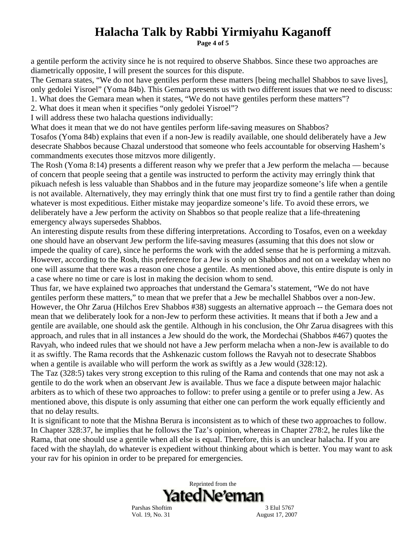**Page 4 of 5** 

a gentile perform the activity since he is not required to observe Shabbos. Since these two approaches are diametrically opposite, I will present the sources for this dispute.

The Gemara states, "We do not have gentiles perform these matters [being mechallel Shabbos to save lives], only gedolei Yisroel" (Yoma 84b). This Gemara presents us with two different issues that we need to discuss:

1. What does the Gemara mean when it states, "We do not have gentiles perform these matters"?

2. What does it mean when it specifies "only gedolei Yisroel"?

I will address these two halacha questions individually:

What does it mean that we do not have gentiles perform life-saving measures on Shabbos?

Tosafos (Yoma 84b) explains that even if a non-Jew is readily available, one should deliberately have a Jew desecrate Shabbos because Chazal understood that someone who feels accountable for observing Hashem's commandments executes those mitzvos more diligently.

The Rosh (Yoma 8:14) presents a different reason why we prefer that a Jew perform the melacha — because of concern that people seeing that a gentile was instructed to perform the activity may erringly think that pikuach nefesh is less valuable than Shabbos and in the future may jeopardize someone's life when a gentile is not available. Alternatively, they may erringly think that one must first try to find a gentile rather than doing whatever is most expeditious. Either mistake may jeopardize someone's life. To avoid these errors, we deliberately have a Jew perform the activity on Shabbos so that people realize that a life-threatening emergency always supersedes Shabbos.

An interesting dispute results from these differing interpretations. According to Tosafos, even on a weekday one should have an observant Jew perform the life-saving measures (assuming that this does not slow or impede the quality of care), since he performs the work with the added sense that he is performing a mitzvah. However, according to the Rosh, this preference for a Jew is only on Shabbos and not on a weekday when no one will assume that there was a reason one chose a gentile. As mentioned above, this entire dispute is only in a case where no time or care is lost in making the decision whom to send.

Thus far, we have explained two approaches that understand the Gemara's statement, "We do not have gentiles perform these matters," to mean that we prefer that a Jew be mechallel Shabbos over a non-Jew. However, the Ohr Zarua (Hilchos Erev Shabbos #38) suggests an alternative approach -- the Gemara does not mean that we deliberately look for a non-Jew to perform these activities. It means that if both a Jew and a gentile are available, one should ask the gentile. Although in his conclusion, the Ohr Zarua disagrees with this approach, and rules that in all instances a Jew should do the work, the Mordechai (Shabbos #467) quotes the Ravyah, who indeed rules that we should not have a Jew perform melacha when a non-Jew is available to do it as swiftly. The Rama records that the Ashkenazic custom follows the Ravyah not to desecrate Shabbos when a gentile is available who will perform the work as swiftly as a Jew would (328:12).

The Taz (328:5) takes very strong exception to this ruling of the Rama and contends that one may not ask a gentile to do the work when an observant Jew is available. Thus we face a dispute between major halachic arbiters as to which of these two approaches to follow: to prefer using a gentile or to prefer using a Jew. As mentioned above, this dispute is only assuming that either one can perform the work equally efficiently and that no delay results.

It is significant to note that the Mishna Berura is inconsistent as to which of these two approaches to follow. In Chapter 328:37, he implies that he follows the Taz's opinion, whereas in Chapter 278:2, he rules like the Rama, that one should use a gentile when all else is equal. Therefore, this is an unclear halacha. If you are faced with the shaylah, do whatever is expedient without thinking about which is better. You may want to ask your rav for his opinion in order to be prepared for emergencies.



Parshas Shoftim 3 Elul 5767 Vol. 19, No. 31 August 17, 2007